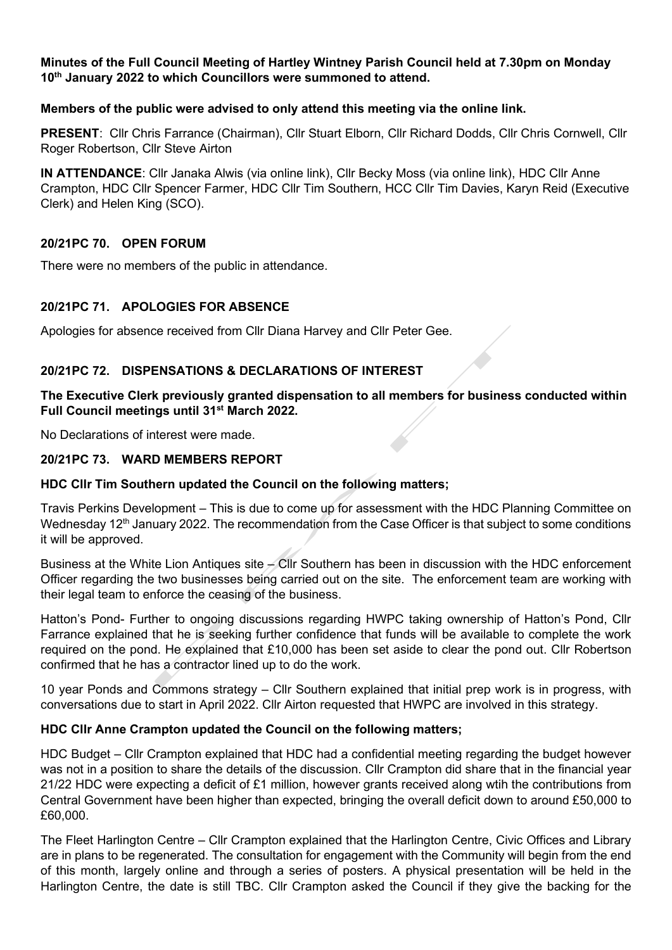### **Minutes of the Full Council Meeting of Hartley Wintney Parish Council held at 7.30pm on Monday 10th January 2022 to which Councillors were summoned to attend.**

## **Members of the public were advised to only attend this meeting via the online link.**

**PRESENT**: Cllr Chris Farrance (Chairman), Cllr Stuart Elborn, Cllr Richard Dodds, Cllr Chris Cornwell, Cllr Roger Robertson, Cllr Steve Airton

**IN ATTENDANCE**: Cllr Janaka Alwis (via online link), Cllr Becky Moss (via online link), HDC Cllr Anne Crampton, HDC Cllr Spencer Farmer, HDC Cllr Tim Southern, HCC Cllr Tim Davies, Karyn Reid (Executive Clerk) and Helen King (SCO).

## **20/21PC 70. OPEN FORUM**

There were no members of the public in attendance.

## **20/21PC 71. APOLOGIES FOR ABSENCE**

Apologies for absence received from Cllr Diana Harvey and Cllr Peter Gee.

## **20/21PC 72. DISPENSATIONS & DECLARATIONS OF INTEREST**

## **The Executive Clerk previously granted dispensation to all members for business conducted within Full Council meetings until 31st March 2022.**

No Declarations of interest were made.

# **20/21PC 73. WARD MEMBERS REPORT**

#### **HDC Cllr Tim Southern updated the Council on the following matters;**

Travis Perkins Development – This is due to come up for assessment with the HDC Planning Committee on Wednesday 12<sup>th</sup> January 2022. The recommendation from the Case Officer is that subject to some conditions it will be approved.

Business at the White Lion Antiques site – Cllr Southern has been in discussion with the HDC enforcement Officer regarding the two businesses being carried out on the site. The enforcement team are working with their legal team to enforce the ceasing of the business.

Hatton's Pond- Further to ongoing discussions regarding HWPC taking ownership of Hatton's Pond, Cllr Farrance explained that he is seeking further confidence that funds will be available to complete the work required on the pond. He explained that £10,000 has been set aside to clear the pond out. Cllr Robertson confirmed that he has a contractor lined up to do the work.

10 year Ponds and Commons strategy – Cllr Southern explained that initial prep work is in progress, with conversations due to start in April 2022. Cllr Airton requested that HWPC are involved in this strategy.

#### **HDC Cllr Anne Crampton updated the Council on the following matters;**

HDC Budget – Cllr Crampton explained that HDC had a confidential meeting regarding the budget however was not in a position to share the details of the discussion. Cllr Crampton did share that in the financial year 21/22 HDC were expecting a deficit of £1 million, however grants received along wtih the contributions from Central Government have been higher than expected, bringing the overall deficit down to around £50,000 to £60,000.

The Fleet Harlington Centre – Cllr Crampton explained that the Harlington Centre, Civic Offices and Library are in plans to be regenerated. The consultation for engagement with the Community will begin from the end of this month, largely online and through a series of posters. A physical presentation will be held in the Harlington Centre, the date is still TBC. Cllr Crampton asked the Council if they give the backing for the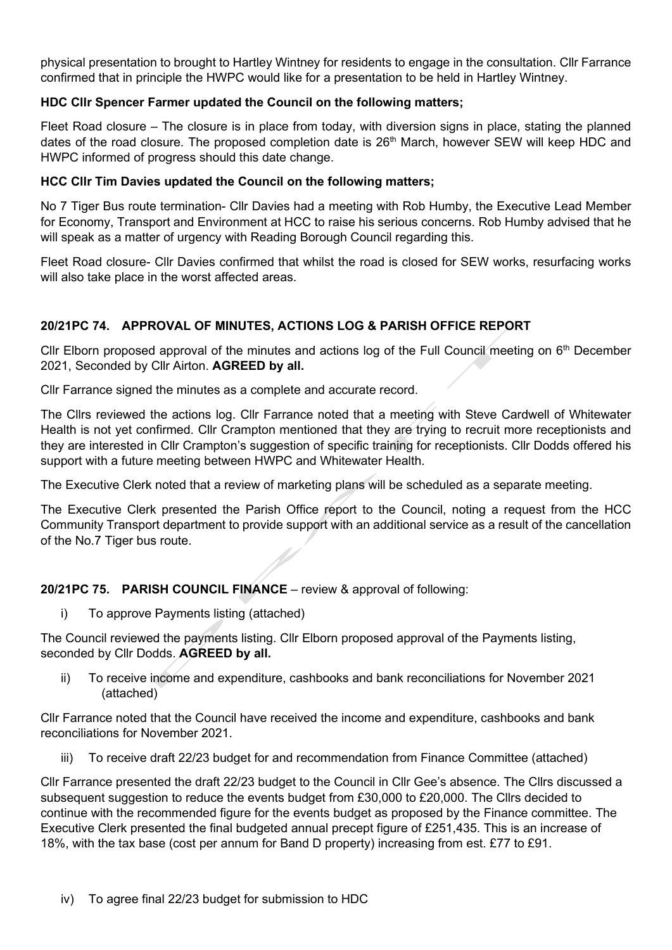physical presentation to brought to Hartley Wintney for residents to engage in the consultation. Cllr Farrance confirmed that in principle the HWPC would like for a presentation to be held in Hartley Wintney.

## **HDC Cllr Spencer Farmer updated the Council on the following matters;**

Fleet Road closure – The closure is in place from today, with diversion signs in place, stating the planned dates of the road closure. The proposed completion date is 26<sup>th</sup> March, however SEW will keep HDC and HWPC informed of progress should this date change.

### **HCC Cllr Tim Davies updated the Council on the following matters;**

No 7 Tiger Bus route termination- Cllr Davies had a meeting with Rob Humby, the Executive Lead Member for Economy, Transport and Environment at HCC to raise his serious concerns. Rob Humby advised that he will speak as a matter of urgency with Reading Borough Council regarding this.

Fleet Road closure- Cllr Davies confirmed that whilst the road is closed for SEW works, resurfacing works will also take place in the worst affected areas.

# **20/21PC 74. APPROVAL OF MINUTES, ACTIONS LOG & PARISH OFFICE REPORT**

Cllr Elborn proposed approval of the minutes and actions log of the Full Council meeting on  $6<sup>th</sup>$  December 2021, Seconded by Cllr Airton. **AGREED by all.**

Cllr Farrance signed the minutes as a complete and accurate record.

The Cllrs reviewed the actions log. Cllr Farrance noted that a meeting with Steve Cardwell of Whitewater Health is not yet confirmed. Cllr Crampton mentioned that they are trying to recruit more receptionists and they are interested in Cllr Crampton's suggestion of specific training for receptionists. Cllr Dodds offered his support with a future meeting between HWPC and Whitewater Health.

The Executive Clerk noted that a review of marketing plans will be scheduled as a separate meeting.

The Executive Clerk presented the Parish Office report to the Council, noting a request from the HCC Community Transport department to provide support with an additional service as a result of the cancellation of the No.7 Tiger bus route.

#### **20/21PC 75. PARISH COUNCIL FINANCE** – review & approval of following:

i) To approve Payments listing (attached)

The Council reviewed the payments listing. Cllr Elborn proposed approval of the Payments listing, seconded by Cllr Dodds. **AGREED by all.**

ii) To receive income and expenditure, cashbooks and bank reconciliations for November 2021 (attached)

Cllr Farrance noted that the Council have received the income and expenditure, cashbooks and bank reconciliations for November 2021.

iii) To receive draft 22/23 budget for and recommendation from Finance Committee (attached)

Cllr Farrance presented the draft 22/23 budget to the Council in Cllr Gee's absence. The Cllrs discussed a subsequent suggestion to reduce the events budget from £30,000 to £20,000. The Cllrs decided to continue with the recommended figure for the events budget as proposed by the Finance committee. The Executive Clerk presented the final budgeted annual precept figure of £251,435. This is an increase of 18%, with the tax base (cost per annum for Band D property) increasing from est. £77 to £91.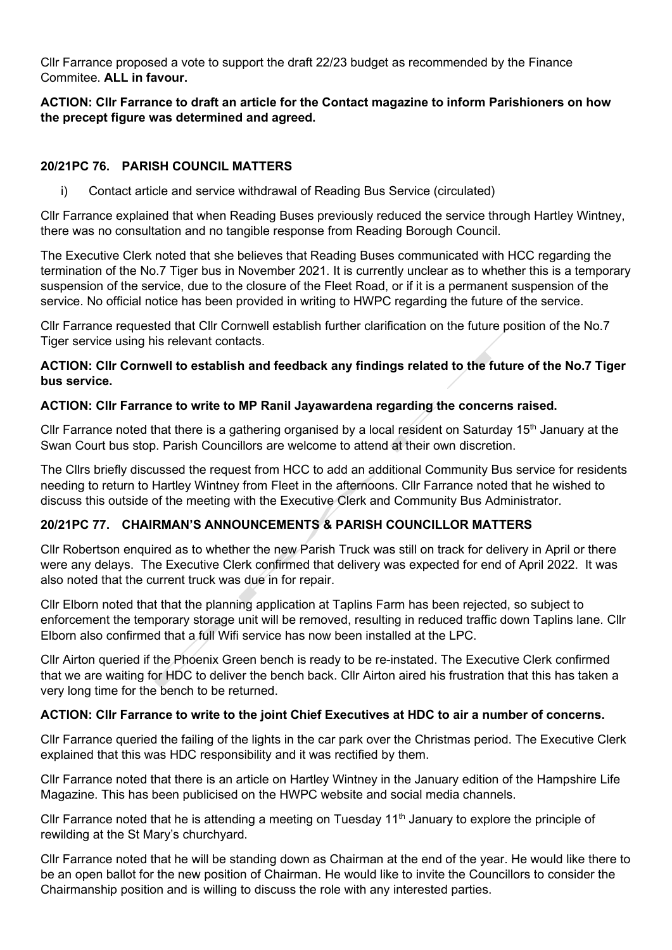Cllr Farrance proposed a vote to support the draft 22/23 budget as recommended by the Finance Commitee. **ALL in favour.**

## **ACTION: Cllr Farrance to draft an article for the Contact magazine to inform Parishioners on how the precept figure was determined and agreed.**

## **20/21PC 76. PARISH COUNCIL MATTERS**

i) Contact article and service withdrawal of Reading Bus Service (circulated)

Cllr Farrance explained that when Reading Buses previously reduced the service through Hartley Wintney, there was no consultation and no tangible response from Reading Borough Council.

The Executive Clerk noted that she believes that Reading Buses communicated with HCC regarding the termination of the No.7 Tiger bus in November 2021. It is currently unclear as to whether this is a temporary suspension of the service, due to the closure of the Fleet Road, or if it is a permanent suspension of the service. No official notice has been provided in writing to HWPC regarding the future of the service.

Cllr Farrance requested that Cllr Cornwell establish further clarification on the future position of the No.7 Tiger service using his relevant contacts.

## **ACTION: Cllr Cornwell to establish and feedback any findings related to the future of the No.7 Tiger bus service.**

# **ACTION: Cllr Farrance to write to MP Ranil Jayawardena regarding the concerns raised.**

Cllr Farrance noted that there is a gathering organised by a local resident on Saturday 15<sup>th</sup> January at the Swan Court bus stop. Parish Councillors are welcome to attend at their own discretion.

The Cllrs briefly discussed the request from HCC to add an additional Community Bus service for residents needing to return to Hartley Wintney from Fleet in the afternoons. Cllr Farrance noted that he wished to discuss this outside of the meeting with the Executive Clerk and Community Bus Administrator.

# **20/21PC 77. CHAIRMAN'S ANNOUNCEMENTS & PARISH COUNCILLOR MATTERS**

Cllr Robertson enquired as to whether the new Parish Truck was still on track for delivery in April or there were any delays. The Executive Clerk confirmed that delivery was expected for end of April 2022. It was also noted that the current truck was due in for repair.

Cllr Elborn noted that that the planning application at Taplins Farm has been rejected, so subject to enforcement the temporary storage unit will be removed, resulting in reduced traffic down Taplins lane. Cllr Elborn also confirmed that a full Wifi service has now been installed at the LPC.

Cllr Airton queried if the Phoenix Green bench is ready to be re-instated. The Executive Clerk confirmed that we are waiting for HDC to deliver the bench back. Cllr Airton aired his frustration that this has taken a very long time for the bench to be returned.

# **ACTION: Cllr Farrance to write to the joint Chief Executives at HDC to air a number of concerns.**

Cllr Farrance queried the failing of the lights in the car park over the Christmas period. The Executive Clerk explained that this was HDC responsibility and it was rectified by them.

Cllr Farrance noted that there is an article on Hartley Wintney in the January edition of the Hampshire Life Magazine. This has been publicised on the HWPC website and social media channels.

Cllr Farrance noted that he is attending a meeting on Tuesday 11<sup>th</sup> January to explore the principle of rewilding at the St Mary's churchyard.

Cllr Farrance noted that he will be standing down as Chairman at the end of the year. He would like there to be an open ballot for the new position of Chairman. He would like to invite the Councillors to consider the Chairmanship position and is willing to discuss the role with any interested parties.